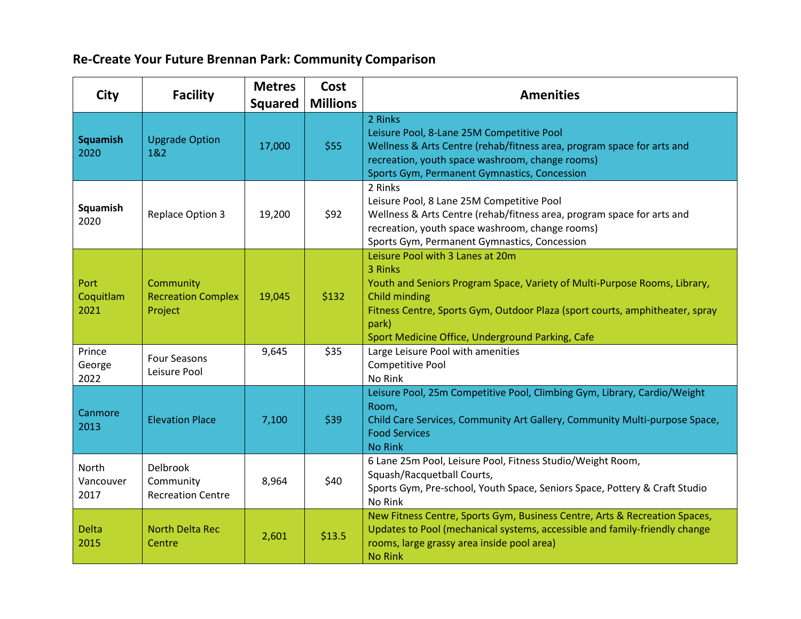## **Re-Create Your Future Brennan Park: Community Comparison**

| <b>City</b>                | <b>Facility</b>                                   | <b>Metres</b><br><b>Squared</b> | Cost<br><b>Millions</b> | <b>Amenities</b>                                                                                                                                                                                                                                                                       |  |  |  |
|----------------------------|---------------------------------------------------|---------------------------------|-------------------------|----------------------------------------------------------------------------------------------------------------------------------------------------------------------------------------------------------------------------------------------------------------------------------------|--|--|--|
| <b>Squamish</b><br>2020    | <b>Upgrade Option</b><br>1&2                      | 17,000                          | \$55                    | 2 Rinks<br>Leisure Pool, 8-Lane 25M Competitive Pool<br>Wellness & Arts Centre (rehab/fitness area, program space for arts and<br>recreation, youth space washroom, change rooms)<br>Sports Gym, Permanent Gymnastics, Concession                                                      |  |  |  |
| Squamish<br>2020           | <b>Replace Option 3</b>                           | 19,200                          | \$92                    | 2 Rinks<br>Leisure Pool, 8 Lane 25M Competitive Pool<br>Wellness & Arts Centre (rehab/fitness area, program space for arts and<br>recreation, youth space washroom, change rooms)<br>Sports Gym, Permanent Gymnastics, Concession                                                      |  |  |  |
| Port<br>Coquitlam<br>2021  | Community<br><b>Recreation Complex</b><br>Project | 19,045                          | \$132                   | Leisure Pool with 3 Lanes at 20m<br>3 Rinks<br>Youth and Seniors Program Space, Variety of Multi-Purpose Rooms, Library,<br>Child minding<br>Fitness Centre, Sports Gym, Outdoor Plaza (sport courts, amphitheater, spray<br>park)<br>Sport Medicine Office, Underground Parking, Cafe |  |  |  |
| Prince<br>George<br>2022   | <b>Four Seasons</b><br>Leisure Pool               | 9,645                           | \$35                    | Large Leisure Pool with amenities<br>Competitive Pool<br>No Rink                                                                                                                                                                                                                       |  |  |  |
| Canmore<br>2013            | <b>Elevation Place</b>                            | 7,100                           | \$39                    | Leisure Pool, 25m Competitive Pool, Climbing Gym, Library, Cardio/Weight<br>Room,<br>Child Care Services, Community Art Gallery, Community Multi-purpose Space,<br><b>Food Services</b><br><b>No Rink</b>                                                                              |  |  |  |
| North<br>Vancouver<br>2017 | Delbrook<br>Community<br><b>Recreation Centre</b> | 8,964                           | \$40                    | 6 Lane 25m Pool, Leisure Pool, Fitness Studio/Weight Room,<br>Squash/Racquetball Courts,<br>Sports Gym, Pre-school, Youth Space, Seniors Space, Pottery & Craft Studio<br>No Rink                                                                                                      |  |  |  |
| <b>Delta</b><br>2015       | <b>North Delta Rec</b><br>Centre                  | 2,601                           | \$13.5                  | New Fitness Centre, Sports Gym, Business Centre, Arts & Recreation Spaces,<br>Updates to Pool (mechanical systems, accessible and family-friendly change<br>rooms, large grassy area inside pool area)<br><b>No Rink</b>                                                               |  |  |  |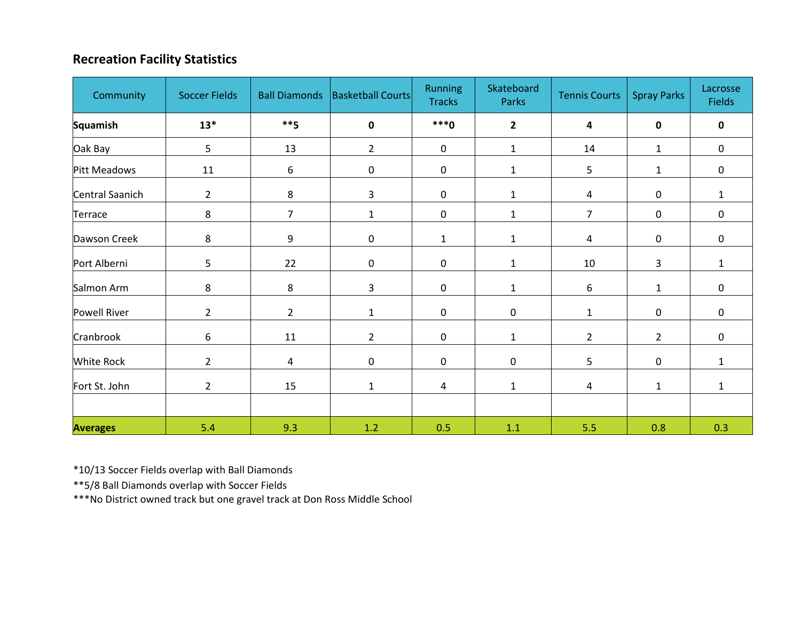## **Recreation Facility Statistics**

| Community           | <b>Soccer Fields</b> |                | Ball Diamonds   Basketball Courts | Running<br><b>Tracks</b> | Skateboard<br>Parks | <b>Tennis Courts</b> | <b>Spray Parks</b> | Lacrosse<br><b>Fields</b> |
|---------------------|----------------------|----------------|-----------------------------------|--------------------------|---------------------|----------------------|--------------------|---------------------------|
| <b>Squamish</b>     | $13*$                | $***5$         | $\mathbf 0$                       | $***0$                   | $\overline{2}$      | 4                    | $\mathbf 0$        | $\mathbf 0$               |
| Oak Bay             | 5                    | 13             | $\overline{2}$                    | $\mathbf 0$              | $\mathbf 1$         | 14                   | $\mathbf{1}$       | $\mathbf 0$               |
| Pitt Meadows        | 11                   | 6              | $\mathbf 0$                       | $\mathbf 0$              | $\mathbf 1$         | 5                    | $\mathbf{1}$       | 0                         |
| Central Saanich     | $\overline{2}$       | 8              | 3                                 | $\mathbf 0$              | $\mathbf{1}$        | $\overline{4}$       | $\mathbf 0$        | $\mathbf{1}$              |
| Terrace             | 8                    | $\overline{7}$ | $\mathbf{1}$                      | $\mathbf 0$              | $\mathbf{1}$        | $\overline{7}$       | $\mathbf 0$        | $\mathbf 0$               |
| Dawson Creek        | 8                    | 9              | $\boldsymbol{0}$                  | $\mathbf{1}$             | $\mathbf{1}$        | 4                    | $\boldsymbol{0}$   | $\mathbf 0$               |
| Port Alberni        | 5                    | 22             | $\mathbf 0$                       | $\mathbf 0$              | $\mathbf{1}$        | 10                   | 3                  | $\mathbf{1}$              |
| Salmon Arm          | 8                    | 8              | 3                                 | $\mathbf 0$              | $\mathbf{1}$        | 6                    | $\mathbf{1}$       | 0                         |
| <b>Powell River</b> | $\overline{2}$       | $2^{\circ}$    | $\mathbf{1}$                      | $\mathbf 0$              | $\mathbf 0$         | $\mathbf{1}$         | $\mathbf 0$        | $\mathbf 0$               |
| Cranbrook           | 6                    | 11             | $\overline{2}$                    | $\mathbf 0$              | $\mathbf{1}$        | $\overline{2}$       | $\overline{2}$     | 0                         |
| <b>White Rock</b>   | $\overline{2}$       | 4              | $\mathbf 0$                       | $\mathbf 0$              | $\mathbf 0$         | 5                    | $\bf{0}$           | 1                         |
| Fort St. John       | $\overline{2}$       | 15             | $\mathbf{1}$                      | $\overline{4}$           | $\mathbf{1}$        | 4                    | $\mathbf{1}$       | 1                         |
|                     |                      |                |                                   |                          |                     |                      |                    |                           |
| <b>Averages</b>     | 5.4                  | 9.3            | 1.2                               | 0.5                      | $1.1\,$             | 5.5                  | 0.8                | 0.3                       |

\*10/13 Soccer Fields overlap with Ball Diamonds

\*\*5/8 Ball Diamonds overlap with Soccer Fields

\*\*\*No District owned track but one gravel track at Don Ross Middle School